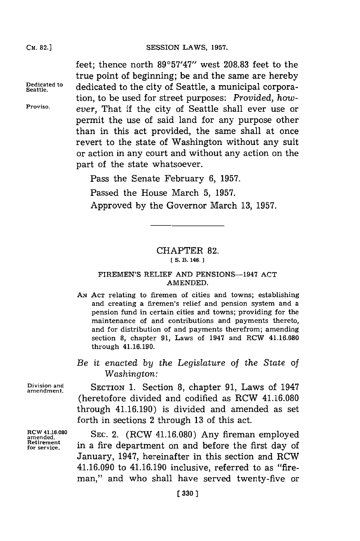### SESSION LAWS, 1957.

feet; thence north  $89^{\circ}57'47''$  west 208.83 feet to the true point of beginning; be and the same are hereby **Dedicated to** dedicated to the city of Seattle, a municipal corporation, to be used for street purposes: *Provided, how-***Proviso,** *ever,* That if the city of Seattle shall ever use or permit the use of said land for any purpose other than in this act provided, the same shall at once revert to the state of Washington without any suit or action in any court and without any action on the part of the state whatsoever.

Pass the Senate February **6, 1957.**

Passed the House March **5, 1957.** Approved **by** the Governor March **13, 1957.**

# CHAPTER **82.**

**[S. 13. 146. I**

## FIREMEN'S RELIEF **AND** PENSIONS-1947 **ACT AMENDED.**

- **AN ACT** relating to firemen of cities and towns; establishing and creating a firemen's relief and pension system and a pension fund in certain cities and towns; providing for the maintenance of and contributions and payments thereto, and for distribution of and payments therefrom; amending section **8,** chapter **91,** Laws of 1947 and RCW 41.16.080 through 41.16.190.
- *Be it enacted by the Legislature of the State of Washington:*

Division and **SECTION 1.** Section 8, chapter 91, Laws of 1947 (heretofore divided and codified as RCW 41.16.080 through 41.16.190) is divided and amended as set **f** orth in sections 2 through **13** of this act.

**RCW 41.16.080 SEC. 2.** (RCW 41.16.080) Any fireman employed amended. SEC. 2. (RCW 41.16.080) Any fireman employed Retirement **in** a fire department on and before the first day of January, 1947, hereinafter in this section and RCW 41.16.090 to 41.16.190 inclusive, referred to as "fireman," and who shall have served twenty-five or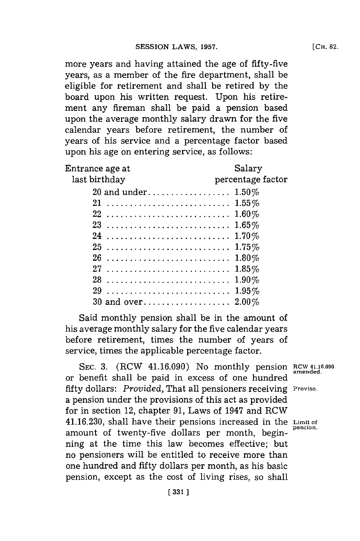more years and having attained the age of fifty-five years, as a member of the fire department, shall be eligible for retirement and shall be retired **by** the board upon his written request. Upon his retirement any fireman shall be paid a pension based upon the average monthly salary drawn for the five calendar years before retirement, the number of years of his service and a percentage factor based upon his age on entering service, as follows:

| Entrance age at | Salary            |
|-----------------|-------------------|
| last birthday   | percentage factor |
|                 |                   |
| 21              |                   |
|                 |                   |
|                 |                   |
|                 |                   |
| 25              |                   |
| 26              |                   |
|                 |                   |
|                 |                   |
|                 |                   |
|                 |                   |
|                 |                   |

Said monthly pension shall be in the amount of his average monthly salary for the five calendar years before retirement, times the number of years of service, times the applicable percentage factor.

SEC. 3. (RCW 41.16.090) No monthly pension RCW 41.16.090 or benefit shall be paid in excess of one hundred fifty dollars: *Provided*, That all pensioners receiving Proviso. a pension under the provisions of this act as provided for in section 12, chapter **91,** Laws of 1947 and RCW 41.16.230, shall have their pensions increased in the Limit of amount of twenty-five dollars per month, beginning at the time this law becomes effective; but no pensioners will be entitled to receive more than one hundred and **fifty** dollars per month, as his basic pension, except as the cost of living rises, so shall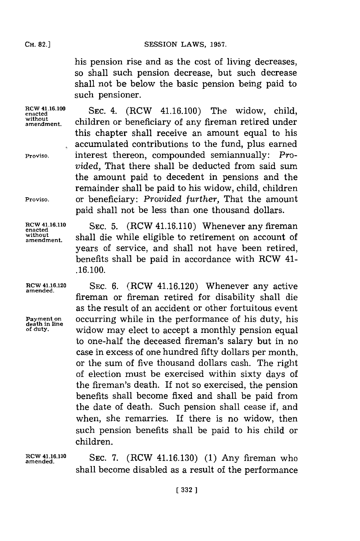his pension rise and as the cost of living decreases, so shall such pension decrease, but such decrease shall not be below the basic pension being paid to such pensioner.

**without**

RCW 41.16.100 SEC. 4. (RCW 41.16.100) The widow, child, children or beneficiary of any fireman retired under this chapter shall receive an amount equal to his accumulated contributions to the fund, plus earned **Proviso,** interest thereon, compounded semiannually: *Provided,* That there shall be deducted from said sum the amount paid to decedent in pensions and the remainder shall be paid to his widow, child, children **Proviso,** or beneficiary: *Provided further,* That the amount paid shall not be less than one thousand dollars.

RCW 41.16.110 SEC. 5. (RCW 41.16.110) Whenever any fireman without shall die while eligible to retirement on account of years of service, and shall not have been retired, benefits shall be paid in accordance with RCW 41- **.16.100.**

**ROW 41.16.120** SEC. **6.** (RCW 41.16.120) Whenever any active **amended.** fireman or fireman retired for disability shall die as the result of an accident or other fortuitous event Payment on **occurring while in the performance of his duty**, his death in **line**<br>of duty. **widow may elect to accept a monthly pension equal** to one-half the deceased fireman's salary but in no case in excess of one hundred fifty dollars per month, or the sum of five thousand dollars cash. The right of election must be exercised within sixty days of the fireman's death. If not so exercised, the pension benefits shall become fixed and shall be paid from the date of death. Such pension shall cease if, and when, she remarries. If there is no widow, then such pension benefits shall be paid to his child or children.

RCW 41.16.130 **SEC. 7.** (RCW 41.16.130) (1) Any fireman who shall become disabled as a result of the performance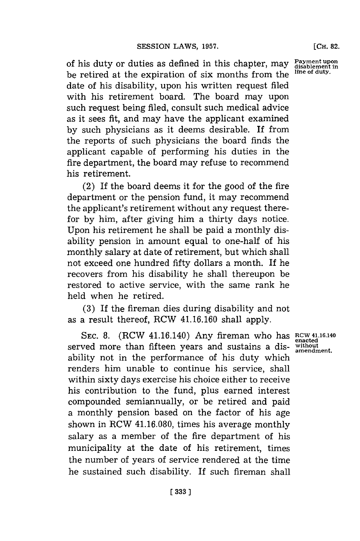of his duty or duties as defined in this chapter, may be retired at the expiration of six months from the date of his disability, upon his written request filed with his retirement board. The board may upon such request being filed, consult such medical advice as it sees *fit,* and may have the applicant examined **by** such physicians as it deems desirable. If from the reports of such physicians the board finds the applicant capable of performing his duties in the fire department, the board may refuse to recommend **Payment upon disablement in Ilie of duty.**

(2) If the board deems it for the good of the fire department or the pension fund, it may recommend the applicant's retirement without any request therefor **by** him, after giving him a thirty days notice. Upon his retirement he shall be paid a monthly disability pension in amount equal to one-half of his monthly salary at date of retirement, but which shall not exceed one hundred fifty dollars a month. If he recovers from his disability he shall thereupon be restored to active service, with the same rank he held when he retired.

his retirement.

**(3)** If the fireman dies during disability and not as a result thereof, RCW 41.16.160 shall apply.

**SEC. 8.** (RCW 41.16.140) Any fireman who has **RCW 41.16.140** served more than fifteen years and sustains a disability not in the performance of his duty which renders him unable to continue his service, shall within sixty days exercise his choice either to receive his contribution to the fund, plus earned interest compounded semiannually, or be retired and paid a monthly pension based on the factor of his age shown in RCW 41.16.080, times his average monthly salary as a member of the fire department of his municipality at the date of his retirement, times the number of years of service rendered at the time he sustained such disability. If such fireman shall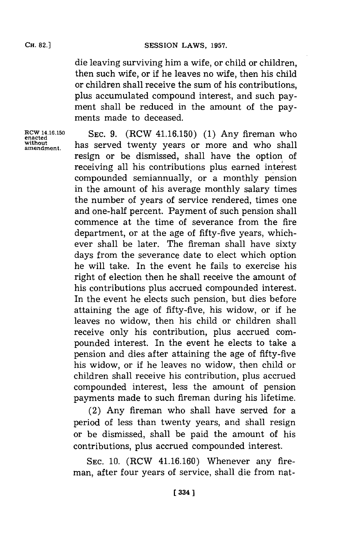die leaving surviving him a wife, or child or children, then such wife, or if he leaves no wife, then his child or children shall receive the sum of his contributions, plus accumulated compound interest, and such payment shall be reduced in the amount of the payments made to deceased.

**RCW 14.16.150** SEC. 9. (RCW 41.16.150) (1) Any fireman who enacted<br>without beg sound twenty years or more and who shall without has served twenty years or more and who shall resign or be dismissed, shall have the option of receiving all his contributions plus earned interest compounded semiannually, or a monthly pension in the amount of his average monthly salary times the number of years of service rendered, times one and one-half percent. Payment of such pension shall commence at the time of severance from the fire department, or at the age of fifty-five years, whichever shall be later. The fireman shall have sixty days from the severance date to elect which option he will take. In the event he fails to exercise his right of election then he shall receive the amount of his contributions plus accrued compounded interest. In the event he elects such pension, but dies before attaining the age of fifty-five, his widow, or if he leaves no widow, then his child or children shall receive only his contribution, plus accrued compounded interest. In the event he elects to take a pension and dies after attaining the age of fifty-five his widow, or if he leaves no widow, then child or children shall receive his contribution, plus accrued compounded interest, less the amount of pension payments made to such fireman during his lifetime.

> (2) Any fireman who shall have served for a period of less than twenty years, and shall resign or be dismissed, shall be paid the amount of his contributions, plus accrued compounded interest.

> **SEC. 10.** (RCW 41.16.160) Whenever any fireman, after four years of service, shall die from nat-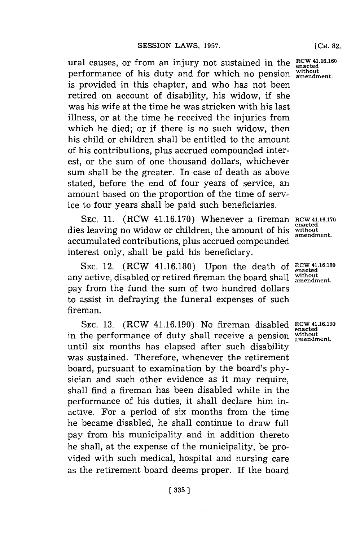ural causes, or from an injury not sustained in the  $RCW$ <sup>41.16.160</sup> performance of his duty and for which no pension **without amendment.** is provided in this chapter, and who has not been retired on account of disability, his widow, **if** she was his wife at the time he was stricken with his last illness, or at the time he received the injuries from which he died; or if there is no such widow, then his child or children shall be entitled to the amount of his contributions, plus accrued compounded interest, or the sum of one thousand dollars, whichever sum shall be the greater. In case of death as above stated, before the end of four years of service, an amount based on the proportion of the time of service to four years shall be paid such beneficiaries.

SEC. 11. (RCW 41.16.170) Whenever a fireman RCW 41.16.170 dies leaving no widow or children, the amount of his accumulated contributions, plus accrued compounded interest only, shall be paid his beneficiary.

SEC. 12. (RCW 41.16.180) Upon the death of  $RCW$  41.16.180 any active, disabled or retired fireman the board shall **without amendment.** pay from the fund the sum of two hundred dollars to assist in defraying the funeral expenses of such fireman.

SEC. 13. (RCW 41.16.190) No fireman disabled RCW 41.16.190 in the performance of duty shall receive a pension **without amendment.** until six months has elapsed after such disability was sustained. Therefore, whenever the retirement board, pursuant to examination **by** the board's **phy**sician and such other evidence as it may require, shall find a fireman has been disabled while in the performance of his duties, it shall declare him inactive. For a period of six months from the time he became disabled, he shall continue to draw full pay from his municipality and in addition thereto he shall, at the expense of the municipality, be provided with such medical, hospital and nursing care as the retirement board deems proper. If the board

**en~acted without amendment.**

**enacted**

**enacted**